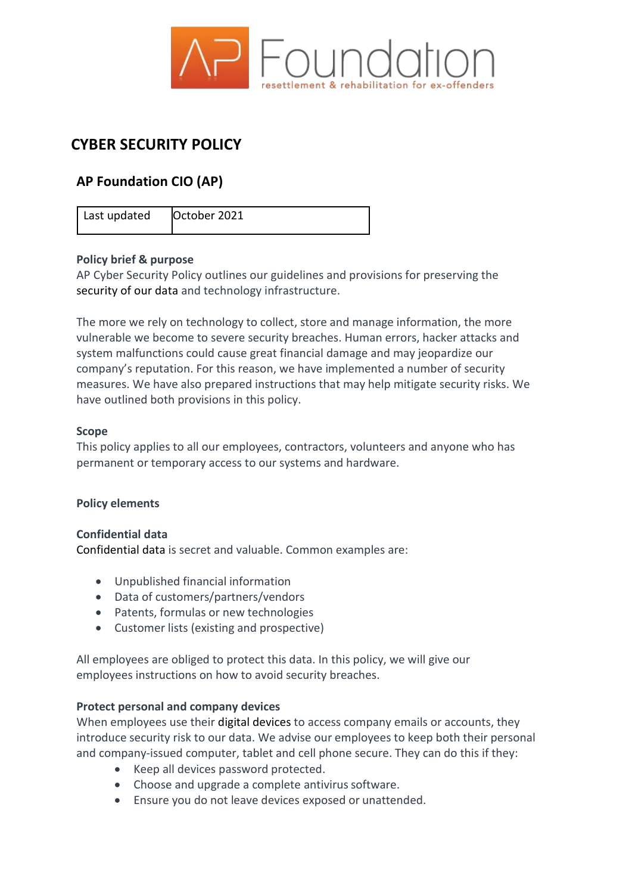

# **CYBER SECURITY POLICY**

# **AP Foundation CIO (AP)**

Last updated | October 2021

# **Policy brief & purpose**

AP Cyber Security Policy outlines our guidelines and provisions for preserving the [security of our](https://resources.workable.com/data-protection-company-policy) data and technology infrastructure.

The more we rely on technology to collect, store and manage information, the more vulnerable we become to severe security breaches. Human errors, hacker attacks and system malfunctions could cause great financial damage and may jeopardize our company's reputation. For this reason, we have implemented a number of security measures. We have also prepared instructions that may help mitigate security risks. We have outlined both provisions in this policy.

#### **Scope**

This policy applies to all our employees, contractors, volunteers and anyone who has permanent or temporary access to our systems and hardware.

# **Policy elements**

# **Confidential data**

[Confidential data i](https://resources.workable.com/confidentiality-company-policy)s secret and valuable. Common examples are:

- Unpublished financial information
- Data of customers/partners/vendors
- Patents, formulas or new technologies
- Customer lists (existing and prospective)

All employees are obliged to protect this data. In this policy, we will give our employees instructions on how to avoid security breaches.

#### **Protect personal and company devices**

When employees use their [digital devices t](https://resources.workable.com/cell-phone-company-policy)o access company emails or accounts, they introduce security risk to our data. We advise our employees to keep both their personal and company-issued computer, tablet and cell phone secure. They can do this if they:

- Keep all devices password protected.
- Choose and upgrade a complete antivirus software.
- Ensure you do not leave devices exposed or unattended.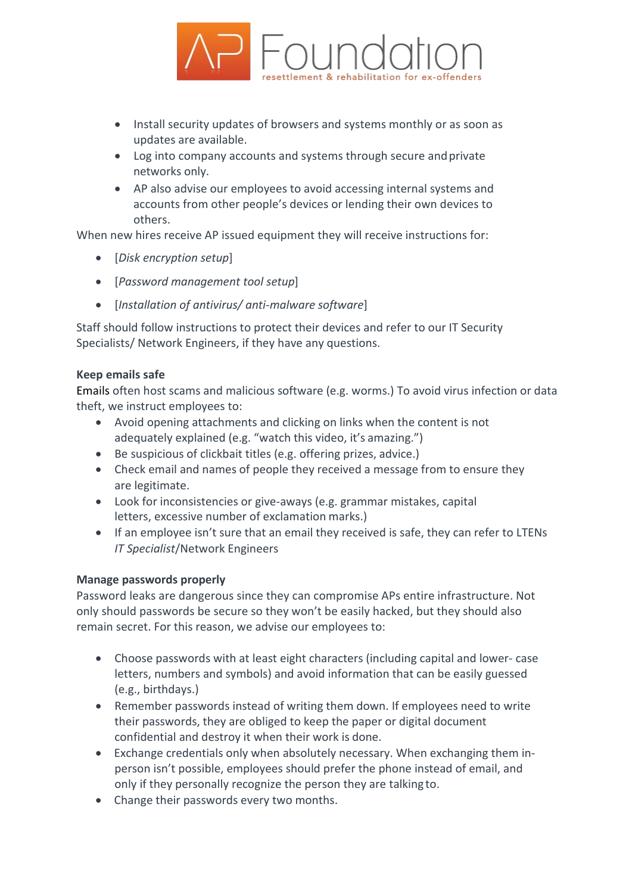

- Install security updates of browsers and systems monthly or as soon as updates are available.
- Log into company accounts and systems through secure andprivate networks only.
- AP also advise our employees to avoid accessing internal systems and accounts from other people's devices or lending their own devices to others.

When new hires receive AP issued equipment they will receive instructions for:

- [*Disk encryption setup*]
- [*Password management tool setup*]
- [*Installation of antivirus/ anti-malware software*]

Staff should follow instructions to protect their devices and refer to our IT Security Specialists/ Network Engineers, if they have any questions.

# **Keep emails safe**

[Emails o](https://resources.workable.com/email-usage-policy-template)ften host scams and malicious software (e.g. worms.) To avoid virus infection or data theft, we instruct employees to:

- Avoid opening attachments and clicking on links when the content is not adequately explained (e.g. "watch this video, it's amazing.")
- Be suspicious of clickbait titles (e.g. offering prizes, advice.)
- Check email and names of people they received a message from to ensure they are legitimate.
- Look for inconsistencies or give-aways (e.g. grammar mistakes, capital letters, excessive number of exclamation marks.)
- If an employee isn't sure that an email they received is safe, they can refer to LTENs *IT Specialist*/Network Engineers

# **Manage passwords properly**

Password leaks are dangerous since they can compromise APs entire infrastructure. Not only should passwords be secure so they won't be easily hacked, but they should also remain secret. For this reason, we advise our employees to:

- Choose passwords with at least eight characters (including capital and lower- case letters, numbers and symbols) and avoid information that can be easily guessed (e.g., birthdays.)
- Remember passwords instead of writing them down. If employees need to write their passwords, they are obliged to keep the paper or digital document confidential and destroy it when their work is done.
- Exchange credentials only when absolutely necessary. When exchanging them inperson isn't possible, employees should prefer the phone instead of email, and only if they personally recognize the person they are talking to.
- Change their passwords every two months.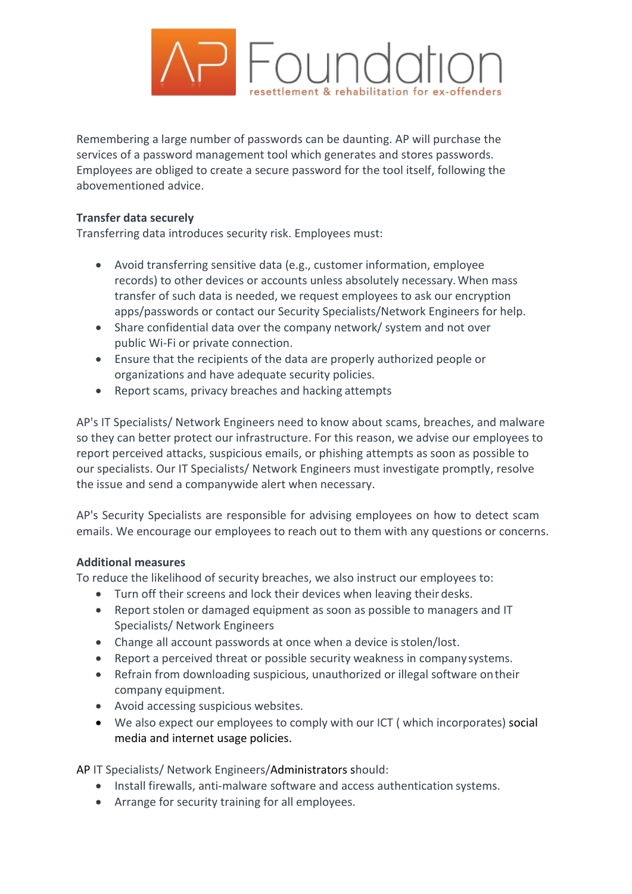

Remembering a large number of passwords can be daunting. AP will purchase the services of a password management tool which generates and stores passwords. Employees are obliged to create a secure password for the tool itself, following the abovementioned advice.

#### **Transfer data securely**

Transferring data introduces security risk. Employees must:

- Avoid transferring sensitive data (e.g., customer information, employee records) to other devices or accounts unless absolutely necessary.When mass transfer of such data is needed, we request employees to ask our encryption apps/passwords or contact our Security Specialists/Network Engineers for help.
- Share confidential data over the company network/ system and not over public Wi-Fi or private connection.
- Ensure that the recipients of the data are properly authorized people or organizations and have adequate security policies.
- Report scams, privacy breaches and hacking attempts

AP's IT Specialists/ Network Engineers need to know about scams, breaches, and malware so they can better protect our infrastructure. For this reason, we advise our employees to report perceived attacks, suspicious emails, or phishing attempts as soon as possible to our specialists. Our IT Specialists/ Network Engineers must investigate promptly, resolve the issue and send a companywide alert when necessary.

AP's Security Specialists are responsible for advising employees on how to detect scam emails. We encourage our employees to reach out to them with any questions or concerns.

# **Additional measures**

To reduce the likelihood of security breaches, we also instruct our employees to:

- Turn off their screens and lock their devices when leaving their desks.
- Report stolen or damaged equipment as soon as possible to managers and IT Specialists/ Network Engineers
- Change all account passwords at once when a device is stolen/lost.
- Report a perceived threat or possible security weakness in company systems.
- Refrain from downloading suspicious, unauthorized or illegal software ontheir company equipment.
- Avoid accessing suspicious websites.
- We also expect our employees to comply with our ICT ( which incorporates) [social](https://resources.workable.com/social-media-company-policy) [media a](https://resources.workable.com/social-media-company-policy)nd [internet usage](https://resources.workable.com/internet-usage-policy) policies.

AP IT Specialists/ Network Engineers/Administrators should:

- Install firewalls, anti-malware software and access authentication systems.
- Arrange for security training for all employees.